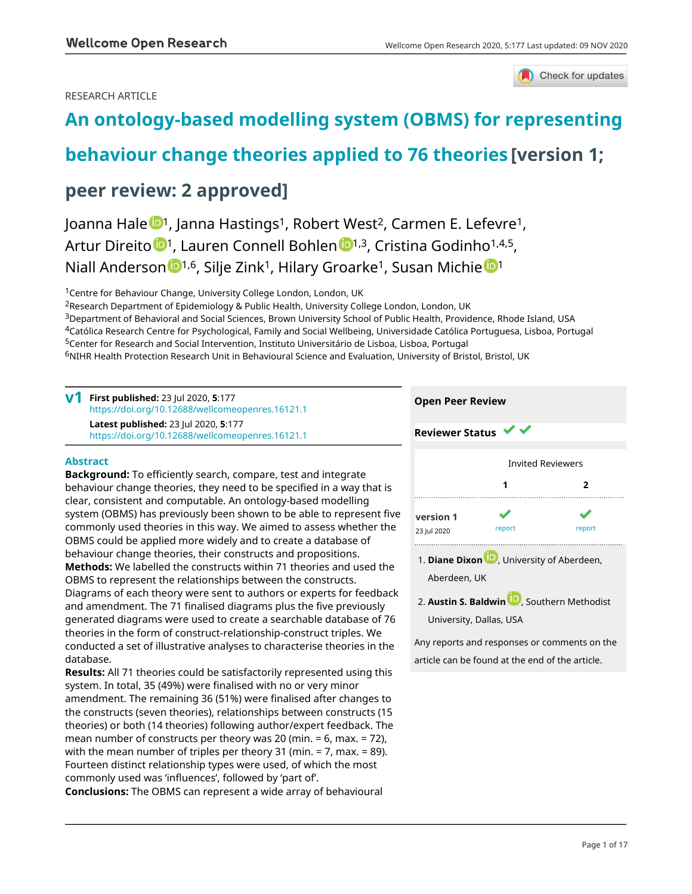# RESEARCH ARTICLE



# **[An ontology-based modelling system \(OBMS\) for representing](https://wellcomeopenresearch.org/articles/5-177/v1)**

# **[behaviour change theories applied to 76 theories](https://wellcomeopenresearch.org/articles/5-177/v1) [version 1;**

# **peer review: 2 approved]**

Joanna Hale <sup>1</sup>, Janna Hastings<sup>1</sup>, Robert West<sup>2</sup>, Carmen E. Lefevre<sup>1</sup>, Artur Direito <sup>[1](https://orcid.org/0000-0002-2236-8506),</sup> Lauren Connell Bohlen <sup>1,3</sup>, Cristina Godinho<sup>1,4,5</sup>, Niall A[n](https://orcid.org/0000-0003-1834-9086)derson **[1](https://orcid.org/0000-0003-0063-6378),6**, Silje Zink<sup>1</sup>, Hilary Groarke<sup>1</sup>, Susan Michie <sup>1</sup>

<sup>1</sup>Centre for Behaviour Change, University College London, London, UK

<sup>2</sup>Research Department of Epidemiology & Public Health, University College London, London, UK <sup>3</sup>Department of Behavioral and Social Sciences, Brown University School of Public Health, Providence, Rhode Island, USA <sup>4</sup>Católica Research Centre for Psychological, Family and Social Wellbeing, Universidade Católica Portuguesa, Lisboa, Portugal <sup>5</sup>Center for Research and Social Intervention, Instituto Universitário de Lisboa, Lisboa, Portugal <sup>6</sup>NIHR Health Protection Research Unit in Behavioural Science and Evaluation, University of Bristol, Bristol, UK

| $V1$ First published: 23 Jul 2020, 5:177<br>https://doi.org/10.12688/wellcomeopenres.16121.1    |
|-------------------------------------------------------------------------------------------------|
| <b>Latest published: 23 Jul 2020, 5:177</b><br>https://doi.org/10.12688/wellcomeopenres.16121.1 |

# **Abstract**

**Background:** To efficiently search, compare, test and integrate behaviour change theories, they need to be specified in a way that is clear, consistent and computable. An ontology-based modelling system (OBMS) has previously been shown to be able to represent five commonly used theories in this way. We aimed to assess whether the OBMS could be applied more widely and to create a database of behaviour change theories, their constructs and propositions. **Methods:** We labelled the constructs within 71 theories and used the OBMS to represent the relationships between the constructs. Diagrams of each theory were sent to authors or experts for feedback and amendment. The 71 finalised diagrams plus the five previously generated diagrams were used to create a searchable database of 76 theories in the form of construct-relationship-construct triples. We conducted a set of illustrative analyses to characterise theories in the database.

**Results:** All 71 theories could be satisfactorily represented using this system. In total, 35 (49%) were finalised with no or very minor amendment. The remaining 36 (51%) were finalised after changes to the constructs (seven theories), relationships between constructs (15 theories) or both (14 theories) following author/expert feedback. The mean number of constructs per theory was 20 (min. = 6, max. = 72), with the mean number of triples per theory 31 (min. = 7, max. = 89). Fourteen distinct relationship types were used, of which the most commonly used was 'influences', followed by 'part of'. **Conclusions:** The OBMS can represent a wide array of behavioural



article can be found at the end of the article.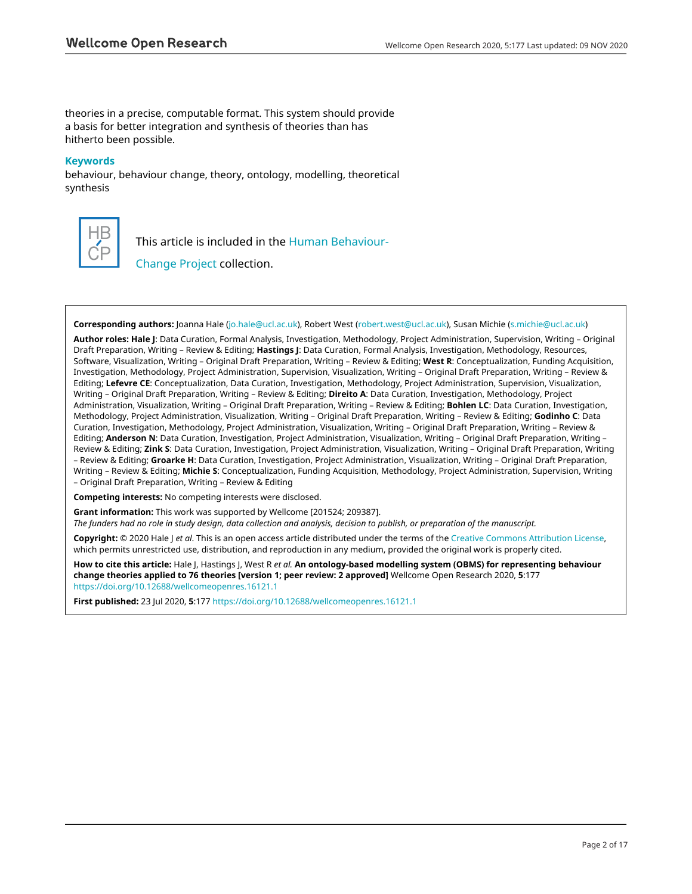theories in a precise, computable format. This system should provide a basis for better integration and synthesis of theories than has hitherto been possible.

# **Keywords**

behaviour, behaviour change, theory, ontology, modelling, theoretical synthesis



This article is included in the [Human Behaviour-](https://wellcomeopenresearch.org/collections/humanbehaviourchange)

[Change Project](https://wellcomeopenresearch.org/collections/humanbehaviourchange) collection.

**Corresponding authors:** Joanna Hale [\(jo.hale@ucl.ac.uk](mailto:jo.hale@ucl.ac.uk)), Robert West ([robert.west@ucl.ac.uk](mailto:robert.west@ucl.ac.uk)), Susan Michie ([s.michie@ucl.ac.uk](mailto:s.michie@ucl.ac.uk))

**Author roles: Hale J**: Data Curation, Formal Analysis, Investigation, Methodology, Project Administration, Supervision, Writing – Original Draft Preparation, Writing – Review & Editing; **Hastings J**: Data Curation, Formal Analysis, Investigation, Methodology, Resources, Software, Visualization, Writing – Original Draft Preparation, Writing – Review & Editing; **West R**: Conceptualization, Funding Acquisition, Investigation, Methodology, Project Administration, Supervision, Visualization, Writing – Original Draft Preparation, Writing – Review & Editing; **Lefevre CE**: Conceptualization, Data Curation, Investigation, Methodology, Project Administration, Supervision, Visualization, Writing – Original Draft Preparation, Writing – Review & Editing; **Direito A**: Data Curation, Investigation, Methodology, Project Administration, Visualization, Writing – Original Draft Preparation, Writing – Review & Editing; **Bohlen LC**: Data Curation, Investigation, Methodology, Project Administration, Visualization, Writing – Original Draft Preparation, Writing – Review & Editing; **Godinho C**: Data Curation, Investigation, Methodology, Project Administration, Visualization, Writing – Original Draft Preparation, Writing – Review & Editing; **Anderson N**: Data Curation, Investigation, Project Administration, Visualization, Writing – Original Draft Preparation, Writing – Review & Editing; **Zink S**: Data Curation, Investigation, Project Administration, Visualization, Writing – Original Draft Preparation, Writing – Review & Editing; **Groarke H**: Data Curation, Investigation, Project Administration, Visualization, Writing – Original Draft Preparation, Writing – Review & Editing; **Michie S**: Conceptualization, Funding Acquisition, Methodology, Project Administration, Supervision, Writing – Original Draft Preparation, Writing – Review & Editing

**Competing interests:** No competing interests were disclosed.

**Grant information:** This work was supported by Wellcome [201524; 209387].

*The funders had no role in study design, data collection and analysis, decision to publish, or preparation of the manuscript.*

**Copyright:** © 2020 Hale J *et al*. This is an open access article distributed under the terms of the [Creative Commons Attribution License,](http://creativecommons.org/licenses/by/4.0/) which permits unrestricted use, distribution, and reproduction in any medium, provided the original work is properly cited.

**How to cite this article:** Hale J, Hastings J, West R *et al.* **An ontology-based modelling system (OBMS) for representing behaviour change theories applied to 76 theories [version 1; peer review: 2 approved]** Wellcome Open Research 2020, **5**:177 <https://doi.org/10.12688/wellcomeopenres.16121.1>

**First published:** 23 Jul 2020, **5**:177<https://doi.org/10.12688/wellcomeopenres.16121.1>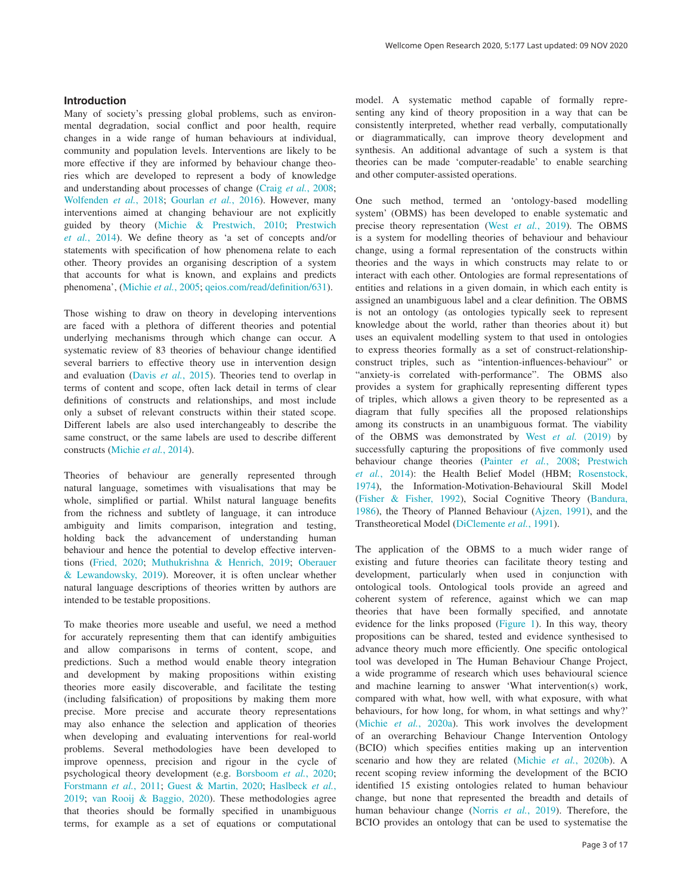## **Introduction**

Many of society's pressing global problems, such as environmental degradation, social conflict and poor health, require changes in a wide range of human behaviours at individual, community and population levels. Interventions are likely to be more effective if they are informed by behaviour change theories which are developed to represent a body of knowledge and understanding about processes of change (Craig *et al.*[, 2008](#page-11-0); [Wolfenden](#page-12-0) *et al.*, 2018; [Gourlan](#page-12-0) *et al.*, 2016). However, many interventions aimed at changing behaviour are not explicitly guided by theory ([Michie & Prestwich, 2010;](#page-12-0) [Prestwich](#page-12-0)  *et al.*[, 2014](#page-12-0)). We define theory as 'a set of concepts and/or statements with specification of how phenomena relate to each other. Theory provides an organising description of a system that accounts for what is known, and explains and predicts phenomena', ([Michie](#page-12-0) *et al.*, 2005; [qeios.com/read/definition/631](https://www.qeios.com/read/524264)).

Those wishing to draw on theory in developing interventions are faced with a plethora of different theories and potential underlying mechanisms through which change can occur. A systematic review of 83 theories of behaviour change identified several barriers to effective theory use in intervention design and evaluation (Davis *et al.*[, 2015\)](#page-12-0). Theories tend to overlap in terms of content and scope, often lack detail in terms of clear definitions of constructs and relationships, and most include only a subset of relevant constructs within their stated scope. Different labels are also used interchangeably to describe the same construct, or the same labels are used to describe different constructs [\(Michie](#page-12-0) *et al.*, 2014).

Theories of behaviour are generally represented through natural language, sometimes with visualisations that may be whole, simplified or partial. Whilst natural language benefits from the richness and subtlety of language, it can introduce ambiguity and limits comparison, integration and testing, holding back the advancement of understanding human behaviour and hence the potential to develop effective interventions [\(Fried, 2020;](#page-12-0) [Muthukrishna & Henrich, 2019;](#page-12-0) [Oberauer](#page-12-0)  [& Lewandowsky, 2019\)](#page-12-0). Moreover, it is often unclear whether natural language descriptions of theories written by authors are intended to be testable propositions.

To make theories more useable and useful, we need a method for accurately representing them that can identify ambiguities and allow comparisons in terms of content, scope, and predictions. Such a method would enable theory integration and development by making propositions within existing theories more easily discoverable, and facilitate the testing (including falsification) of propositions by making them more precise. More precise and accurate theory representations may also enhance the selection and application of theories when developing and evaluating interventions for real-world problems. Several methodologies have been developed to improve openness, precision and rigour in the cycle of psychological theory development (e.g. [Borsboom](#page-11-0) *et al.*, 2020; [Forstmann](#page-12-0) *et al.*, 2011; [Guest & Martin, 2020](#page-12-0); [Haslbeck](#page-12-0) *et al.*, [2019;](#page-12-0) [van Rooij & Baggio, 2020](#page-12-0)). These methodologies agree that theories should be formally specified in unambiguous terms, for example as a set of equations or computational

model. A systematic method capable of formally representing any kind of theory proposition in a way that can be consistently interpreted, whether read verbally, computationally or diagrammatically, can improve theory development and synthesis. An additional advantage of such a system is that theories can be made 'computer-readable' to enable searching and other computer-assisted operations.

One such method, termed an 'ontology-based modelling system' (OBMS) has been developed to enable systematic and precise theory representation (West *et al.*[, 2019\)](#page-12-0). The OBMS is a system for modelling theories of behaviour and behaviour change, using a formal representation of the constructs within theories and the ways in which constructs may relate to or interact with each other. Ontologies are formal representations of entities and relations in a given domain, in which each entity is assigned an unambiguous label and a clear definition. The OBMS is not an ontology (as ontologies typically seek to represent knowledge about the world, rather than theories about it) but uses an equivalent modelling system to that used in ontologies to express theories formally as a set of construct-relationshipconstruct triples, such as "intention-influences-behaviour" or "anxiety-is correlated with-performance". The OBMS also provides a system for graphically representing different types of triples, which allows a given theory to be represented as a diagram that fully specifies all the proposed relationships among its constructs in an unambiguous format. The viability of the OBMS was demonstrated by West *et al.* [\(2019\)](#page-12-0) by successfully capturing the propositions of five commonly used behaviour change theories [\(Painter](#page-12-0) *et al.*, 2008; [Prestwich](#page-12-0)  *et al.*[, 2014\)](#page-12-0): the Health Belief Model (HBM; [Rosenstock,](#page-12-0)  [1974\)](#page-12-0), the Information-Motivation-Behavioural Skill Model ([Fisher & Fisher, 1992](#page-12-0)), Social Cognitive Theory ([Bandura,](#page-11-0)  [1986\)](#page-11-0), the Theory of Planned Behaviour ([Ajzen, 1991\)](#page-11-0), and the Transtheoretical Model ([DiClemente](#page-12-0) *et al.*, 1991).

The application of the OBMS to a much wider range of existing and future theories can facilitate theory testing and development, particularly when used in conjunction with ontological tools. Ontological tools provide an agreed and coherent system of reference, against which we can map theories that have been formally specified, and annotate evidence for the links proposed ([Figure 1\)](#page-3-0). In this way, theory propositions can be shared, tested and evidence synthesised to advance theory much more efficiently. One specific ontological tool was developed in The Human Behaviour Change Project, a wide programme of research which uses behavioural science and machine learning to answer 'What intervention(s) work, compared with what, how well, with what exposure, with what behaviours, for how long, for whom, in what settings and why?' (Michie *et al.*[, 2020a](#page-12-0)). This work involves the development of an overarching Behaviour Change Intervention Ontology (BCIO) which specifies entities making up an intervention scenario and how they are related (Michie *et al.*[, 2020b](#page-12-0)). A recent scoping review informing the development of the BCIO identified 15 existing ontologies related to human behaviour change, but none that represented the breadth and details of human behaviour change [\(Norris](#page-12-0) *et al.*, 2019). Therefore, the BCIO provides an ontology that can be used to systematise the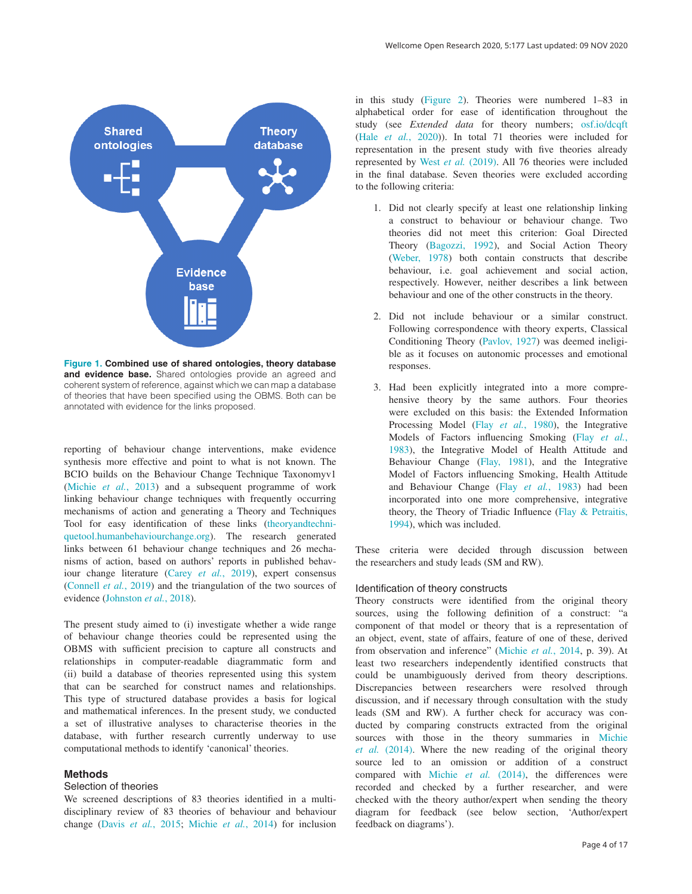<span id="page-3-0"></span>

**Figure 1. Combined use of shared ontologies, theory database and evidence base.** Shared ontologies provide an agreed and coherent system of reference, against which we can map a database of theories that have been specified using the OBMS. Both can be annotated with evidence for the links proposed.

reporting of behaviour change interventions, make evidence synthesis more effective and point to what is not known. The BCIO builds on the Behaviour Change Technique Taxonomyv1 ([Michie](#page-12-0) *et al.*, 2013) and a subsequent programme of work linking behaviour change techniques with frequently occurring mechanisms of action and generating a Theory and Techniques Tool for easy identification of these links ([theoryandtechni](https://theoryandtechniquetool.humanbehaviourchange.org/)[quetool.humanbehaviourchange.org\)](https://theoryandtechniquetool.humanbehaviourchange.org/). The research generated links between 61 behaviour change techniques and 26 mechanisms of action, based on authors' reports in published behaviour change literature (Carey *et al.*[, 2019\)](#page-11-0), expert consensus ([Connell](#page-11-0) *et al.*, 2019) and the triangulation of the two sources of evidence ([Johnston](#page-12-0) *et al.*, 2018).

The present study aimed to (i) investigate whether a wide range of behaviour change theories could be represented using the OBMS with sufficient precision to capture all constructs and relationships in computer-readable diagrammatic form and (ii) build a database of theories represented using this system that can be searched for construct names and relationships. This type of structured database provides a basis for logical and mathematical inferences. In the present study, we conducted a set of illustrative analyses to characterise theories in the database, with further research currently underway to use computational methods to identify 'canonical' theories.

# **Methods**

### Selection of theories

We screened descriptions of 83 theories identified in a multidisciplinary review of 83 theories of behaviour and behaviour change (Davis *et al.*[, 2015](#page-12-0); [Michie](#page-12-0) *et al.*, 2014) for inclusion

in this study ([Figure 2\)](#page-4-0). Theories were numbered 1–83 in alphabetical order for ease of identification throughout the study (see *Extended data* for theory numbers; [osf.io/dcqft](https://osf.io/dcqft) (Hale *et al.*[, 2020\)](#page-12-0)). In total 71 theories were included for representation in the present study with five theories already represented by West *et al.* [\(2019\)](#page-12-0). All 76 theories were included in the final database. Seven theories were excluded according to the following criteria:

- 1. Did not clearly specify at least one relationship linking a construct to behaviour or behaviour change. Two theories did not meet this criterion: Goal Directed Theory [\(Bagozzi, 1992\)](#page-11-0), and Social Action Theory [\(Weber, 1978\)](#page-12-0) both contain constructs that describe behaviour, i.e. goal achievement and social action, respectively. However, neither describes a link between behaviour and one of the other constructs in the theory.
- 2. Did not include behaviour or a similar construct. Following correspondence with theory experts, Classical Conditioning Theory [\(Pavlov, 1927\)](#page-12-0) was deemed ineligible as it focuses on autonomic processes and emotional responses.
- 3. Had been explicitly integrated into a more comprehensive theory by the same authors. Four theories were excluded on this basis: the Extended Information Processing Model (Flay *et al.*[, 1980\)](#page-12-0), the Integrative Models of Factors influencing Smoking (Flay *[et al.](#page-12-0)*, [1983](#page-12-0)), the Integrative Model of Health Attitude and Behaviour Change [\(Flay, 1981\)](#page-12-0), and the Integrative Model of Factors influencing Smoking, Health Attitude and Behaviour Change (Flay *et al.*[, 1983](#page-12-0)) had been incorporated into one more comprehensive, integrative theory, the Theory of Triadic Influence [\(Flay & Petraitis,](#page-12-0)  [1994](#page-12-0)), which was included.

These criteria were decided through discussion between the researchers and study leads (SM and RW).

## Identification of theory constructs

Theory constructs were identified from the original theory sources, using the following definition of a construct: "a component of that model or theory that is a representation of an object, event, state of affairs, feature of one of these, derived from observation and inference" [\(Michie](#page-12-0) *et al.*, 2014, p. 39). At least two researchers independently identified constructs that could be unambiguously derived from theory descriptions. Discrepancies between researchers were resolved through discussion, and if necessary through consultation with the study leads (SM and RW). A further check for accuracy was conducted by comparing constructs extracted from the original sources with those in the theory summaries in [Michie](#page-12-0)  *et al.* [\(2014\).](#page-12-0) Where the new reading of the original theory source led to an omission or addition of a construct compared with Michie *et al.* [\(2014\),](#page-12-0) the differences were recorded and checked by a further researcher, and were checked with the theory author/expert when sending the theory diagram for feedback (see below section, 'Author/expert feedback on diagrams').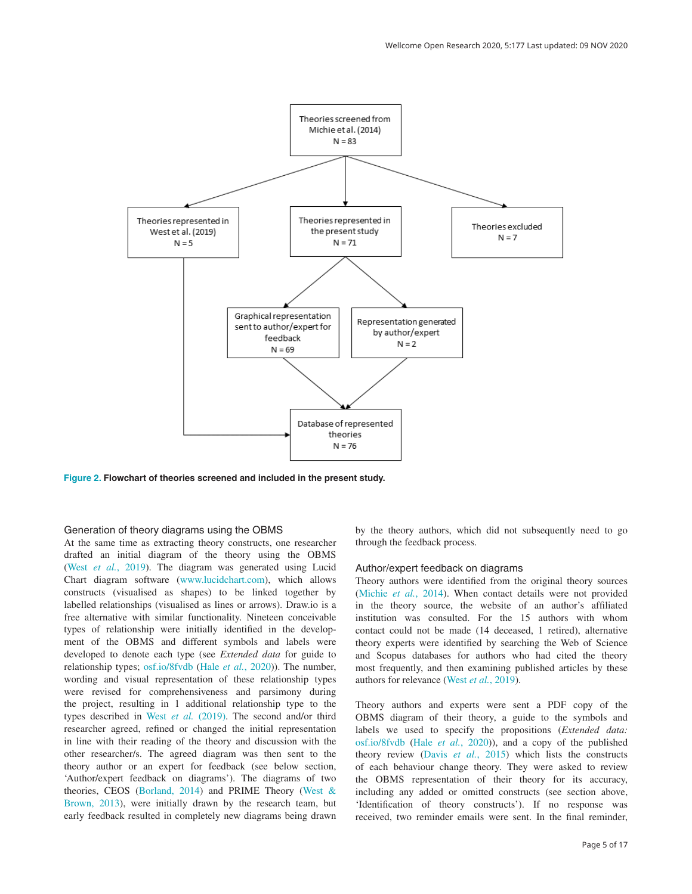<span id="page-4-0"></span>

**Figure 2. Flowchart of theories screened and included in the present study.**

## Generation of theory diagrams using the OBMS

At the same time as extracting theory constructs, one researcher drafted an initial diagram of the theory using the OBMS (West *et al.*[, 2019\)](#page-12-0). The diagram was generated using Lucid Chart diagram software [\(www.lucidchart.com](http://www.lucidchart.com/)), which allows constructs (visualised as shapes) to be linked together by labelled relationships (visualised as lines or arrows). Draw.io is a free alternative with similar functionality. Nineteen conceivable types of relationship were initially identified in the development of the OBMS and different symbols and labels were developed to denote each type (see *Extended data* for guide to relationship types; [osf.io/8fvdb](https://osf.io/8fvdb) (Hale *et al.*[, 2020\)](#page-12-0)). The number, wording and visual representation of these relationship types were revised for comprehensiveness and parsimony during the project, resulting in 1 additional relationship type to the types described in West *et al.* [\(2019\).](#page-12-0) The second and/or third researcher agreed, refined or changed the initial representation in line with their reading of the theory and discussion with the other researcher/s. The agreed diagram was then sent to the theory author or an expert for feedback (see below section, 'Author/expert feedback on diagrams'). The diagrams of two theories, CEOS ([Borland, 2014\)](#page-11-0) and PRIME Theory [\(West &](#page-12-0)  [Brown, 2013\)](#page-12-0), were initially drawn by the research team, but early feedback resulted in completely new diagrams being drawn

by the theory authors, which did not subsequently need to go through the feedback process.

# Author/expert feedback on diagrams

Theory authors were identified from the original theory sources ([Michie](#page-12-0) *et al.*, 2014). When contact details were not provided in the theory source, the website of an author's affiliated institution was consulted. For the 15 authors with whom contact could not be made (14 deceased, 1 retired), alternative theory experts were identified by searching the Web of Science and Scopus databases for authors who had cited the theory most frequently, and then examining published articles by these authors for relevance (West *et al.*[, 2019\)](#page-12-0).

Theory authors and experts were sent a PDF copy of the OBMS diagram of their theory, a guide to the symbols and labels we used to specify the propositions (*Extended data:* [osf.io/8fvdb](https://osf.io/8fvdb) (Hale *et al.*[, 2020](#page-12-0))), and a copy of the published theory review (Davis *et al.*[, 2015\)](#page-12-0) which lists the constructs of each behaviour change theory. They were asked to review the OBMS representation of their theory for its accuracy, including any added or omitted constructs (see section above, 'Identification of theory constructs'). If no response was received, two reminder emails were sent. In the final reminder,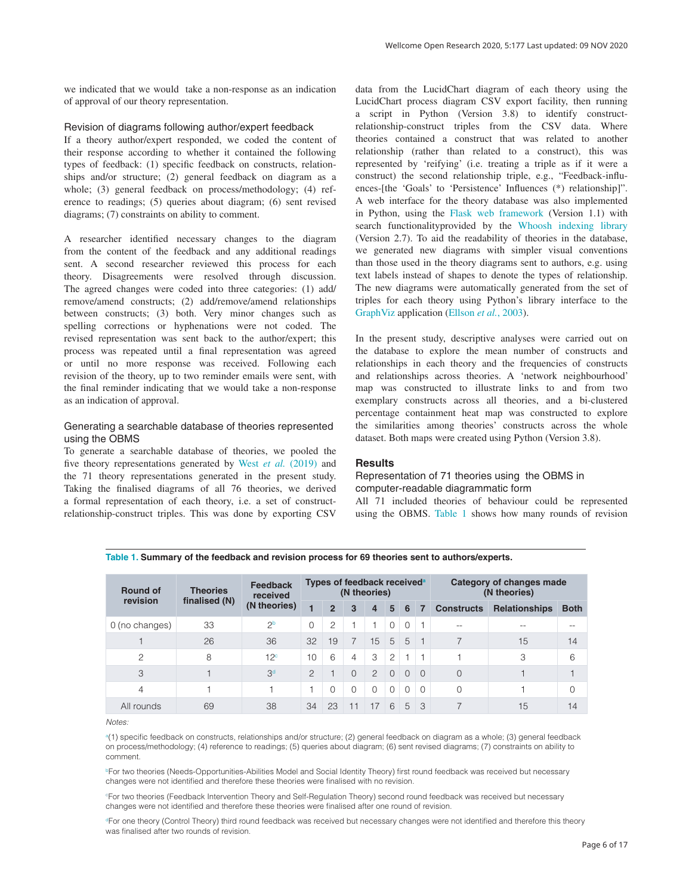we indicated that we would take a non-response as an indication of approval of our theory representation.

## Revision of diagrams following author/expert feedback

If a theory author/expert responded, we coded the content of their response according to whether it contained the following types of feedback: (1) specific feedback on constructs, relationships and/or structure; (2) general feedback on diagram as a whole; (3) general feedback on process/methodology; (4) reference to readings; (5) queries about diagram; (6) sent revised diagrams; (7) constraints on ability to comment.

A researcher identified necessary changes to the diagram from the content of the feedback and any additional readings sent. A second researcher reviewed this process for each theory. Disagreements were resolved through discussion. The agreed changes were coded into three categories: (1) add/ remove/amend constructs; (2) add/remove/amend relationships between constructs; (3) both. Very minor changes such as spelling corrections or hyphenations were not coded. The revised representation was sent back to the author/expert; this process was repeated until a final representation was agreed or until no more response was received. Following each revision of the theory, up to two reminder emails were sent, with the final reminder indicating that we would take a non-response as an indication of approval.

# Generating a searchable database of theories represented using the OBMS

To generate a searchable database of theories, we pooled the five theory representations generated by West *et al.* [\(2019\)](#page-12-0) and the 71 theory representations generated in the present study. Taking the finalised diagrams of all 76 theories, we derived a formal representation of each theory, i.e. a set of constructrelationship-construct triples. This was done by exporting CSV

data from the LucidChart diagram of each theory using the LucidChart process diagram CSV export facility, then running a script in Python (Version 3.8) to identify constructrelationship-construct triples from the CSV data. Where theories contained a construct that was related to another relationship (rather than related to a construct), this was represented by 'reifying' (i.e. treating a triple as if it were a construct) the second relationship triple, e.g., "Feedback-influences-[the 'Goals' to 'Persistence' Influences (\*) relationship]". A web interface for the theory database was also implemented in Python, using the [Flask web framework](https://flask.palletsprojects.com/en/1.1.x/) (Version 1.1) with search functionalityprovided by the [Whoosh indexing library](https://whoosh.readthedocs.io/en/latest/intro.html) (Version 2.7). To aid the readability of theories in the database, we generated new diagrams with simpler visual conventions than those used in the theory diagrams sent to authors, e.g. using text labels instead of shapes to denote the types of relationship. The new diagrams were automatically generated from the set of triples for each theory using Python's library interface to the [GraphViz](https://graphviz.org/) application [\(Ellson](#page-12-0) *et al.*, 2003).

In the present study, descriptive analyses were carried out on the database to explore the mean number of constructs and relationships in each theory and the frequencies of constructs and relationships across theories. A 'network neighbourhood' map was constructed to illustrate links to and from two exemplary constructs across all theories, and a bi-clustered percentage containment heat map was constructed to explore the similarities among theories' constructs across the whole dataset. Both maps were created using Python (Version 3.8).

# **Results**

# Representation of 71 theories using the OBMS in computer-readable diagrammatic form

All 71 included theories of behaviour could be represented using the OBMS. Table 1 shows how many rounds of revision

|                             |                                  | <b>Feedback</b>          | Types of feedback received <sup>a</sup> |                |          |                |                |                |          | Category of changes made |                      |             |
|-----------------------------|----------------------------------|--------------------------|-----------------------------------------|----------------|----------|----------------|----------------|----------------|----------|--------------------------|----------------------|-------------|
| <b>Round of</b><br>revision | <b>Theories</b><br>finalised (N) | received<br>(N theories) | (N theories)                            |                |          |                |                |                |          | (N theories)             |                      |             |
|                             |                                  |                          | 1                                       | $\overline{2}$ | 3        | 4              | 5              | 6              | -7       | <b>Constructs</b>        | <b>Relationships</b> | <b>Both</b> |
| 0 (no changes)              | 33                               | 2 <sup>b</sup>           | $\Omega$                                | $\overline{c}$ |          |                | $\Omega$       | $\Omega$       |          | --                       |                      |             |
|                             | 26                               | 36                       | 32                                      | 19             |          | 15             | $\overline{5}$ | 5              |          |                          | 15                   | 14          |
| $\mathcal{P}$               | 8                                | 12 <sup>c</sup>          | 10                                      | 6              | 4        | 3              | 2              | $\overline{1}$ |          |                          | 3                    | 6           |
| 3                           |                                  | 3 <sup>d</sup>           | $\mathcal{P}$                           |                | $\Omega$ | $\overline{2}$ | $\Omega$       | $\Omega$       | $\Omega$ | $\Omega$                 |                      |             |
| $\overline{4}$              |                                  |                          |                                         | $\Omega$       | $\Omega$ | $\Omega$       | $\Omega$       | 0              | $\Omega$ | 0                        |                      | 0           |
| All rounds                  | 69                               | 38                       | 34                                      | 23             | 11       | 17             | 6              | 5              | 3        | $\overline{\phantom{1}}$ | 15                   | 14          |

**Table 1. Summary of the feedback and revision process for 69 theories sent to authors/experts.**

*Notes:*

a (1) specific feedback on constructs, relationships and/or structure; (2) general feedback on diagram as a whole; (3) general feedback on process/methodology; (4) reference to readings; (5) queries about diagram; (6) sent revised diagrams; (7) constraints on ability to comment.

**PFor two theories (Needs-Opportunities-Abilities Model and Social Identity Theory) first round feedback was received but necessary** changes were not identified and therefore these theories were finalised with no revision.

c For two theories (Feedback Intervention Theory and Self-Regulation Theory) second round feedback was received but necessary changes were not identified and therefore these theories were finalised after one round of revision.

dFor one theory (Control Theory) third round feedback was received but necessary changes were not identified and therefore this theory was finalised after two rounds of revision.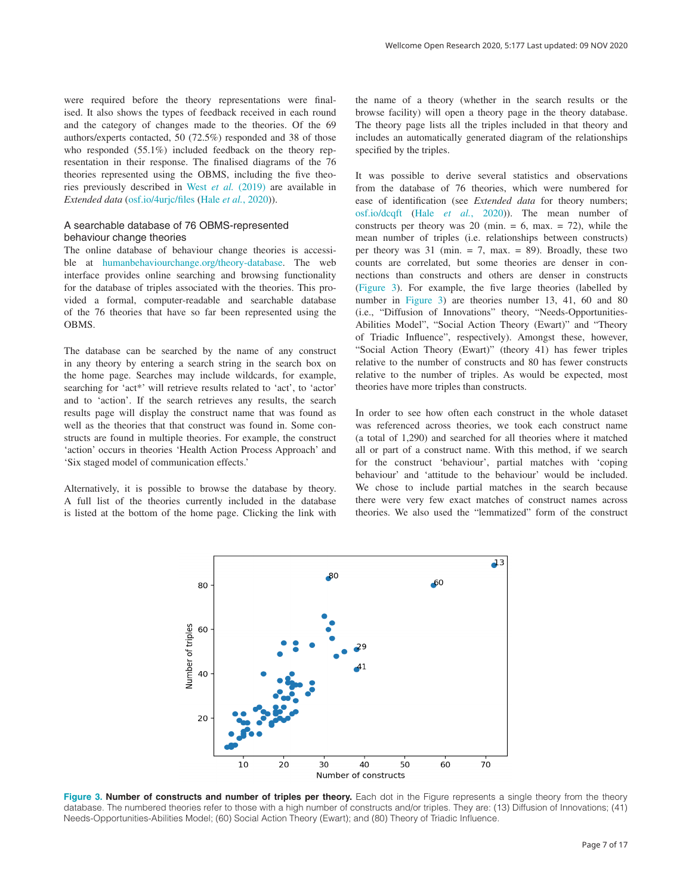<span id="page-6-0"></span>were required before the theory representations were finalised. It also shows the types of feedback received in each round and the category of changes made to the theories. Of the 69 authors/experts contacted, 50 (72.5%) responded and 38 of those who responded (55.1%) included feedback on the theory representation in their response. The finalised diagrams of the 76 theories represented using the OBMS, including the five theories previously described in West *et al.* [\(2019\)](#page-12-0) are available in *Extended data* ([osf.io/4urjc/files](https://osf.io/4urjc/files) (Hale *et al.*[, 2020](#page-12-0))).

# A searchable database of 76 OBMS-represented behaviour change theories

The online database of behaviour change theories is accessible at [humanbehaviourchange.org/theory-database](https://theory-database.appspot.com/). The web interface provides online searching and browsing functionality for the database of triples associated with the theories. This provided a formal, computer-readable and searchable database of the 76 theories that have so far been represented using the OBMS.

The database can be searched by the name of any construct in any theory by entering a search string in the search box on the home page. Searches may include wildcards, for example, searching for 'act\*' will retrieve results related to 'act', to 'actor' and to 'action'. If the search retrieves any results, the search results page will display the construct name that was found as well as the theories that that construct was found in. Some constructs are found in multiple theories. For example, the construct 'action' occurs in theories 'Health Action Process Approach' and 'Six staged model of communication effects.'

Alternatively, it is possible to browse the database by theory. A full list of the theories currently included in the database is listed at the bottom of the home page. Clicking the link with the name of a theory (whether in the search results or the browse facility) will open a theory page in the theory database. The theory page lists all the triples included in that theory and includes an automatically generated diagram of the relationships specified by the triples.

It was possible to derive several statistics and observations from the database of 76 theories, which were numbered for ease of identification (see *Extended data* for theory numbers; [osf.io/dcqft](https://osf.io/dcqft) (Hale *et al.*[, 2020](#page-12-0))). The mean number of constructs per theory was 20 (min.  $= 6$ , max.  $= 72$ ), while the mean number of triples (i.e. relationships between constructs) per theory was  $31 \text{ (min. = 7, max. = 89)}$ . Broadly, these two counts are correlated, but some theories are denser in connections than constructs and others are denser in constructs (Figure 3). For example, the five large theories (labelled by number in Figure 3) are theories number 13, 41, 60 and 80 (i.e., "Diffusion of Innovations" theory, "Needs-Opportunities-Abilities Model", "Social Action Theory (Ewart)" and "Theory of Triadic Influence", respectively). Amongst these, however, "Social Action Theory (Ewart)" (theory 41) has fewer triples relative to the number of constructs and 80 has fewer constructs relative to the number of triples. As would be expected, most theories have more triples than constructs.

In order to see how often each construct in the whole dataset was referenced across theories, we took each construct name (a total of 1,290) and searched for all theories where it matched all or part of a construct name. With this method, if we search for the construct 'behaviour', partial matches with 'coping behaviour' and 'attitude to the behaviour' would be included. We chose to include partial matches in the search because there were very few exact matches of construct names across theories. We also used the "lemmatized" form of the construct



Figure 3. Number of constructs and number of triples per theory. Each dot in the Figure represents a single theory from the theory database. The numbered theories refer to those with a high number of constructs and/or triples. They are: (13) Diffusion of Innovations; (41) Needs-Opportunities-Abilities Model; (60) Social Action Theory (Ewart); and (80) Theory of Triadic Influence.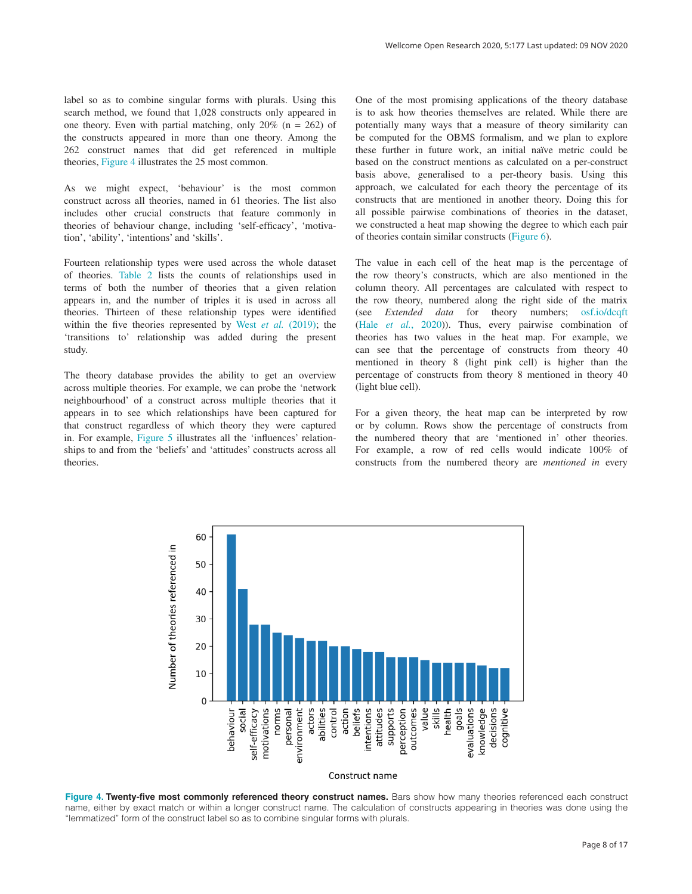label so as to combine singular forms with plurals. Using this search method, we found that 1,028 constructs only appeared in one theory. Even with partial matching, only  $20\%$  (n = 262) of the constructs appeared in more than one theory. Among the 262 construct names that did get referenced in multiple theories, Figure 4 illustrates the 25 most common.

As we might expect, 'behaviour' is the most common construct across all theories, named in 61 theories. The list also includes other crucial constructs that feature commonly in theories of behaviour change, including 'self-efficacy', 'motivation', 'ability', 'intentions' and 'skills'.

Fourteen relationship types were used across the whole dataset of theories. [Table 2](#page-8-0) lists the counts of relationships used in terms of both the number of theories that a given relation appears in, and the number of triples it is used in across all theories. Thirteen of these relationship types were identified within the five theories represented by West *et al.* [\(2019\);](#page-12-0) the 'transitions to' relationship was added during the present study.

The theory database provides the ability to get an overview across multiple theories. For example, we can probe the 'network neighbourhood' of a construct across multiple theories that it appears in to see which relationships have been captured for that construct regardless of which theory they were captured in. For example, [Figure 5](#page-8-0) illustrates all the 'influences' relationships to and from the 'beliefs' and 'attitudes' constructs across all theories.

One of the most promising applications of the theory database is to ask how theories themselves are related. While there are potentially many ways that a measure of theory similarity can be computed for the OBMS formalism, and we plan to explore these further in future work, an initial naïve metric could be based on the construct mentions as calculated on a per-construct basis above, generalised to a per-theory basis. Using this approach, we calculated for each theory the percentage of its constructs that are mentioned in another theory. Doing this for all possible pairwise combinations of theories in the dataset, we constructed a heat map showing the degree to which each pair of theories contain similar constructs ([Figure 6](#page-9-0)).

The value in each cell of the heat map is the percentage of the row theory's constructs, which are also mentioned in the column theory. All percentages are calculated with respect to the row theory, numbered along the right side of the matrix (see *Extended data* for theory numbers; [osf.io/dcqft](https://osf.io/dcqft) (Hale *et al.*[, 2020\)](#page-12-0)). Thus, every pairwise combination of theories has two values in the heat map. For example, we can see that the percentage of constructs from theory 40 mentioned in theory 8 (light pink cell) is higher than the percentage of constructs from theory 8 mentioned in theory 40 (light blue cell).

For a given theory, the heat map can be interpreted by row or by column. Rows show the percentage of constructs from the numbered theory that are 'mentioned in' other theories. For example, a row of red cells would indicate 100% of constructs from the numbered theory are *mentioned in* every



**Figure 4. Twenty-five most commonly referenced theory construct names.** Bars show how many theories referenced each construct name, either by exact match or within a longer construct name. The calculation of constructs appearing in theories was done using the "lemmatized" form of the construct label so as to combine singular forms with plurals.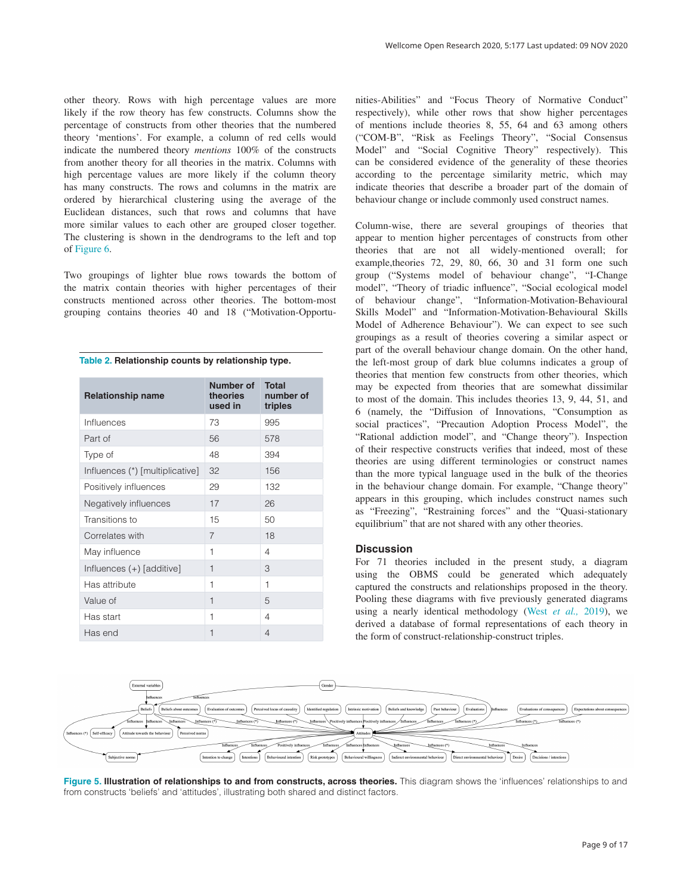<span id="page-8-0"></span>other theory. Rows with high percentage values are more likely if the row theory has few constructs. Columns show the percentage of constructs from other theories that the numbered theory 'mentions'. For example, a column of red cells would indicate the numbered theory *mentions* 100% of the constructs from another theory for all theories in the matrix. Columns with high percentage values are more likely if the column theory has many constructs. The rows and columns in the matrix are ordered by hierarchical clustering using the average of the Euclidean distances, such that rows and columns that have more similar values to each other are grouped closer together. The clustering is shown in the dendrograms to the left and top of [Figure 6.](#page-9-0)

Two groupings of lighter blue rows towards the bottom of the matrix contain theories with higher percentages of their constructs mentioned across other theories. The bottom-most grouping contains theories 40 and 18 ("Motivation-Opportu-

**Table 2. Relationship counts by relationship type.**

| <b>Relationship name</b>        | Number of<br><b>theories</b><br>used in | <b>Total</b><br>number of<br>triples |
|---------------------------------|-----------------------------------------|--------------------------------------|
| Influences                      | 73                                      | 995                                  |
| Part of                         | 56                                      | 578                                  |
| Type of                         | 48                                      | 394                                  |
| Influences (*) [multiplicative] | 32                                      | 156                                  |
| Positively influences           | 29                                      | 132                                  |
| Negatively influences           | 17                                      | 26                                   |
| Transitions to                  | 15                                      | 50                                   |
| Correlates with                 | 7                                       | 18                                   |
| May influence                   | 1                                       | 4                                    |
| Influences (+) [additive]       | 1                                       | 3                                    |
| Has attribute                   | 1                                       | 1                                    |
| Value of                        | $\mathbf{1}$                            | 5                                    |
| Has start                       | 1                                       | 4                                    |
| Has end                         | 1                                       | $\overline{4}$                       |

nities-Abilities" and "Focus Theory of Normative Conduct" respectively), while other rows that show higher percentages of mentions include theories 8, 55, 64 and 63 among others ("COM-B", "Risk as Feelings Theory", "Social Consensus Model" and "Social Cognitive Theory" respectively). This can be considered evidence of the generality of these theories according to the percentage similarity metric, which may indicate theories that describe a broader part of the domain of behaviour change or include commonly used construct names.

Column-wise, there are several groupings of theories that appear to mention higher percentages of constructs from other theories that are not all widely-mentioned overall; for example,theories 72, 29, 80, 66, 30 and 31 form one such group ("Systems model of behaviour change", "I-Change model", "Theory of triadic influence", "Social ecological model of behaviour change", "Information-Motivation-Behavioural Skills Model" and "Information-Motivation-Behavioural Skills Model of Adherence Behaviour"). We can expect to see such groupings as a result of theories covering a similar aspect or part of the overall behaviour change domain. On the other hand, the left-most group of dark blue columns indicates a group of theories that mention few constructs from other theories, which may be expected from theories that are somewhat dissimilar to most of the domain. This includes theories 13, 9, 44, 51, and 6 (namely, the "Diffusion of Innovations, "Consumption as social practices", "Precaution Adoption Process Model", the "Rational addiction model", and "Change theory"). Inspection of their respective constructs verifies that indeed, most of these theories are using different terminologies or construct names than the more typical language used in the bulk of the theories in the behaviour change domain. For example, "Change theory" appears in this grouping, which includes construct names such as "Freezing", "Restraining forces" and the "Quasi-stationary equilibrium" that are not shared with any other theories.

# **Discussion**

For 71 theories included in the present study, a diagram using the OBMS could be generated which adequately captured the constructs and relationships proposed in the theory. Pooling these diagrams with five previously generated diagrams using a nearly identical methodology (West *[et al.,](#page-12-0)* 2019), we derived a database of formal representations of each theory in the form of construct-relationship-construct triples.



**Figure 5. Illustration of relationships to and from constructs, across theories.** This diagram shows the 'influences' relationships to and from constructs 'beliefs' and 'attitudes', illustrating both shared and distinct factors.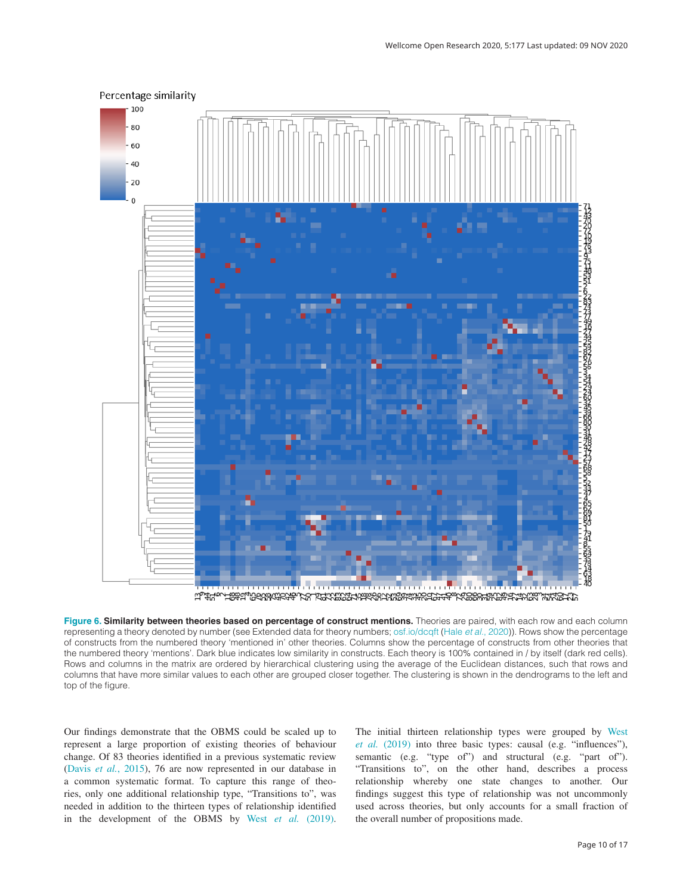

<span id="page-9-0"></span>Percentage similarity

لتل المناسب المستقلة المستقلة المناسبة والمستقلة والمستقلة المستقلة المستقلة المستقلة المستقلة المستقلة المستقلة

**Figure 6. Similarity between theories based on percentage of construct mentions.** Theories are paired, with each row and each column representing a theory denoted by number (see Extended data for theory numbers; [osf.io/dcqft](https://osf.io/dcqft) (Hale *et al.*[, 2020](#page-12-0))). Rows show the percentage of constructs from the numbered theory 'mentioned in' other theories. Columns show the percentage of constructs from other theories that the numbered theory 'mentions'. Dark blue indicates low similarity in constructs. Each theory is 100% contained in / by itself (dark red cells). Rows and columns in the matrix are ordered by hierarchical clustering using the average of the Euclidean distances, such that rows and columns that have more similar values to each other are grouped closer together. The clustering is shown in the dendrograms to the left and top of the figure.

Our findings demonstrate that the OBMS could be scaled up to represent a large proportion of existing theories of behaviour change. Of 83 theories identified in a previous systematic review (Davis *et al.*[, 2015](#page-12-0)), 76 are now represented in our database in a common systematic format. To capture this range of theories, only one additional relationship type, "Transitions to", was needed in addition to the thirteen types of relationship identified in the development of the OBMS by West *et al.* [\(2019\)](#page-12-0). The initial thirteen relationship types were grouped by [West](#page-12-0)  *et al.* [\(2019\)](#page-12-0) into three basic types: causal (e.g. "influences"), semantic (e.g. "type of") and structural (e.g. "part of"). "Transitions to", on the other hand, describes a process relationship whereby one state changes to another. Our findings suggest this type of relationship was not uncommonly used across theories, but only accounts for a small fraction of the overall number of propositions made.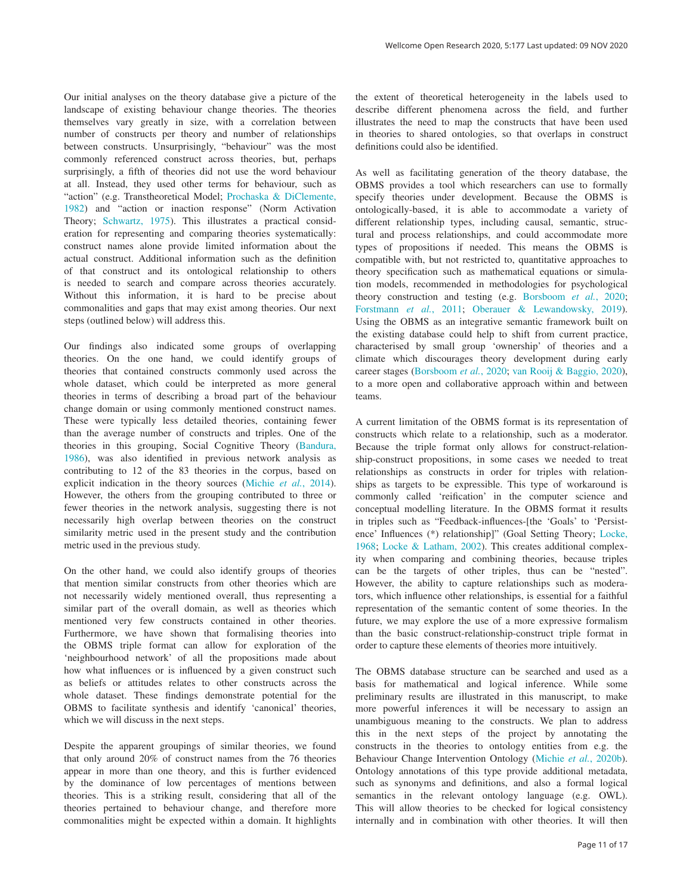Our initial analyses on the theory database give a picture of the landscape of existing behaviour change theories. The theories themselves vary greatly in size, with a correlation between number of constructs per theory and number of relationships between constructs. Unsurprisingly, "behaviour" was the most commonly referenced construct across theories, but, perhaps surprisingly, a fifth of theories did not use the word behaviour at all. Instead, they used other terms for behaviour, such as "action" (e.g. Transtheoretical Model; [Prochaska & DiClemente,](#page-12-0) [1982\)](#page-12-0) and "action or inaction response" (Norm Activation Theory; [Schwartz, 1975\)](#page-12-0). This illustrates a practical consideration for representing and comparing theories systematically: construct names alone provide limited information about the actual construct. Additional information such as the definition of that construct and its ontological relationship to others is needed to search and compare across theories accurately. Without this information, it is hard to be precise about commonalities and gaps that may exist among theories. Our next steps (outlined below) will address this.

Our findings also indicated some groups of overlapping theories. On the one hand, we could identify groups of theories that contained constructs commonly used across the whole dataset, which could be interpreted as more general theories in terms of describing a broad part of the behaviour change domain or using commonly mentioned construct names. These were typically less detailed theories, containing fewer than the average number of constructs and triples. One of the theories in this grouping, Social Cognitive Theory ([Bandura,](#page-11-0)  [1986\)](#page-11-0), was also identified in previous network analysis as contributing to 12 of the 83 theories in the corpus, based on explicit indication in the theory sources [\(Michie](#page-12-0) *et al.*, 2014). However, the others from the grouping contributed to three or fewer theories in the network analysis, suggesting there is not necessarily high overlap between theories on the construct similarity metric used in the present study and the contribution metric used in the previous study.

On the other hand, we could also identify groups of theories that mention similar constructs from other theories which are not necessarily widely mentioned overall, thus representing a similar part of the overall domain, as well as theories which mentioned very few constructs contained in other theories. Furthermore, we have shown that formalising theories into the OBMS triple format can allow for exploration of the 'neighbourhood network' of all the propositions made about how what influences or is influenced by a given construct such as beliefs or attitudes relates to other constructs across the whole dataset. These findings demonstrate potential for the OBMS to facilitate synthesis and identify 'canonical' theories, which we will discuss in the next steps.

Despite the apparent groupings of similar theories, we found that only around 20% of construct names from the 76 theories appear in more than one theory, and this is further evidenced by the dominance of low percentages of mentions between theories. This is a striking result, considering that all of the theories pertained to behaviour change, and therefore more commonalities might be expected within a domain. It highlights

the extent of theoretical heterogeneity in the labels used to describe different phenomena across the field, and further illustrates the need to map the constructs that have been used in theories to shared ontologies, so that overlaps in construct definitions could also be identified.

As well as facilitating generation of the theory database, the OBMS provides a tool which researchers can use to formally specify theories under development. Because the OBMS is ontologically-based, it is able to accommodate a variety of different relationship types, including causal, semantic, structural and process relationships, and could accommodate more types of propositions if needed. This means the OBMS is compatible with, but not restricted to, quantitative approaches to theory specification such as mathematical equations or simulation models, recommended in methodologies for psychological theory construction and testing (e.g. [Borsboom](#page-11-0) *et al.*, 2020; [Forstmann](#page-12-0) *et al.*, 2011; [Oberauer & Lewandowsky, 2019](#page-12-0)). Using the OBMS as an integrative semantic framework built on the existing database could help to shift from current practice, characterised by small group 'ownership' of theories and a climate which discourages theory development during early career stages ([Borsboom](#page-11-0) *et al.*, 2020; [van Rooij & Baggio, 2020](#page-12-0)), to a more open and collaborative approach within and between teams.

A current limitation of the OBMS format is its representation of constructs which relate to a relationship, such as a moderator. Because the triple format only allows for construct-relationship-construct propositions, in some cases we needed to treat relationships as constructs in order for triples with relationships as targets to be expressible. This type of workaround is commonly called 'reification' in the computer science and conceptual modelling literature. In the OBMS format it results in triples such as "Feedback-influences-[the 'Goals' to 'Persistence' Influences (\*) relationship]" (Goal Setting Theory; [Locke,](#page-12-0)  [1968;](#page-12-0) [Locke & Latham, 2002\)](#page-12-0). This creates additional complexity when comparing and combining theories, because triples can be the targets of other triples, thus can be "nested". However, the ability to capture relationships such as moderators, which influence other relationships, is essential for a faithful representation of the semantic content of some theories. In the future, we may explore the use of a more expressive formalism than the basic construct-relationship-construct triple format in order to capture these elements of theories more intuitively.

The OBMS database structure can be searched and used as a basis for mathematical and logical inference. While some preliminary results are illustrated in this manuscript, to make more powerful inferences it will be necessary to assign an unambiguous meaning to the constructs. We plan to address this in the next steps of the project by annotating the constructs in the theories to ontology entities from e.g. the Behaviour Change Intervention Ontology (Michie *et al.*[, 2020b](#page-12-0)). Ontology annotations of this type provide additional metadata, such as synonyms and definitions, and also a formal logical semantics in the relevant ontology language (e.g. OWL). This will allow theories to be checked for logical consistency internally and in combination with other theories. It will then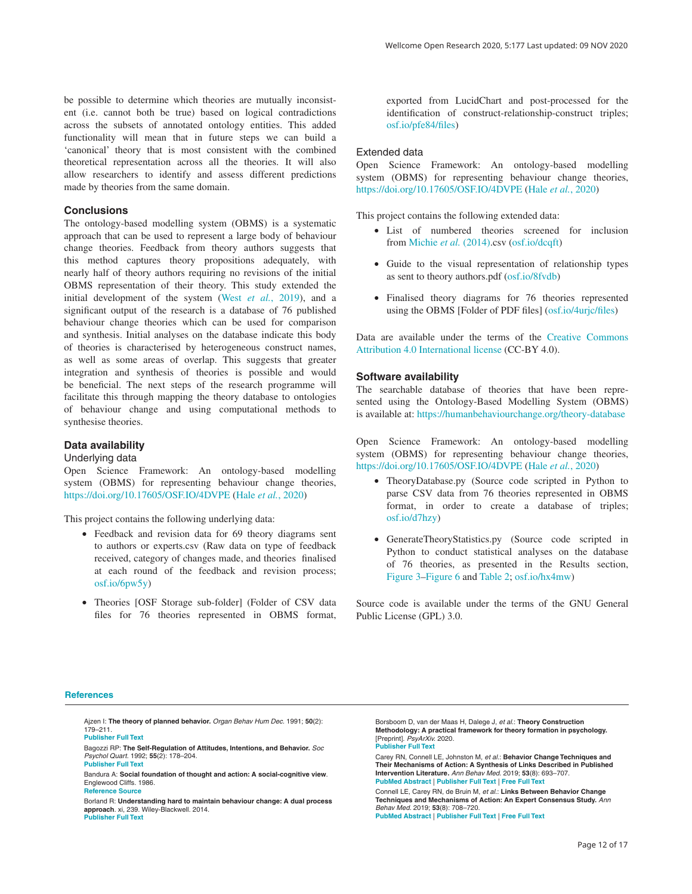<span id="page-11-0"></span>be possible to determine which theories are mutually inconsistent (i.e. cannot both be true) based on logical contradictions across the subsets of annotated ontology entities. This added functionality will mean that in future steps we can build a 'canonical' theory that is most consistent with the combined theoretical representation across all the theories. It will also allow researchers to identify and assess different predictions made by theories from the same domain.

### **Conclusions**

The ontology-based modelling system (OBMS) is a systematic approach that can be used to represent a large body of behaviour change theories. Feedback from theory authors suggests that this method captures theory propositions adequately, with nearly half of theory authors requiring no revisions of the initial OBMS representation of their theory. This study extended the initial development of the system (West *et al.*[, 2019](#page-12-0)), and a significant output of the research is a database of 76 published behaviour change theories which can be used for comparison and synthesis. Initial analyses on the database indicate this body of theories is characterised by heterogeneous construct names, as well as some areas of overlap. This suggests that greater integration and synthesis of theories is possible and would be beneficial. The next steps of the research programme will facilitate this through mapping the theory database to ontologies of behaviour change and using computational methods to synthesise theories.

### **Data availability**

#### Underlying data

Open Science Framework: An ontology-based modelling system (OBMS) for representing behaviour change theories, <https://doi.org/10.17605/OSF.IO/4DVPE>(Hale *et al.*[, 2020\)](#page-12-0)

This project contains the following underlying data:

- Feedback and revision data for 69 theory diagrams sent to authors or experts.csv (Raw data on type of feedback received, category of changes made, and theories finalised at each round of the feedback and revision process; [osf.io/6pw5y\)](https://osf.io/6pw5y/)
- Theories [OSF Storage sub-folder] (Folder of CSV data files for 76 theories represented in OBMS format,

exported from LucidChart and post-processed for the identification of construct-relationship-construct triples; [osf.io/pfe84/files\)](https://osf.io/pfe84/files/)

# Extended data

Open Science Framework: An ontology-based modelling system (OBMS) for representing behaviour change theories, <https://doi.org/10.17605/OSF.IO/4DVPE> (Hale *et al.*[, 2020](#page-12-0))

This project contains the following extended data:

- List of numbered theories screened for inclusion from [Michie](#page-12-0) *et al.* (2014).csv [\(osf.io/dcqft\)](https://osf.io/dcqft)
- Guide to the visual representation of relationship types as sent to theory authors.pdf [\(osf.io/8fvdb\)](https://osf.io/8fvdb)
- Finalised theory diagrams for 76 theories represented using the OBMS [Folder of PDF files] [\(osf.io/4urjc/files](https://osf.io/4urjc/files))

Data are available under the terms of the [Creative Commons](https://creativecommons.org/licenses/by/4.0/legalcode) [Attribution 4.0 International license](https://creativecommons.org/licenses/by/4.0/legalcode) (CC-BY 4.0).

## **Software availability**

The searchable database of theories that have been represented using the Ontology-Based Modelling System (OBMS) is available at:<https://humanbehaviourchange.org/theory-database>

Open Science Framework: An ontology-based modelling system (OBMS) for representing behaviour change theories, <https://doi.org/10.17605/OSF.IO/4DVPE> (Hale *et al.*[, 2020](#page-12-0))

- TheoryDatabase.py (Source code scripted in Python to parse CSV data from 76 theories represented in OBMS format, in order to create a database of triples; [osf.io/d7hzy\)](https://osf.io/d7hzy/)
- GenerateTheoryStatistics.py (Source code scripted in Python to conduct statistical analyses on the database of 76 theories, as presented in the Results section, [Figure 3](#page-6-0)–[Figure 6](#page-9-0) and [Table 2](#page-8-0); [osf.io/hx4mw\)](https://osf.io/hx4mw/)

Source code is available under the terms of the GNU General Public License (GPL) 3.0.

#### **References**

- Ajzen I: **The theory of planned behavior.** *Organ Behav Hum Dec.* 1991; **50**(2): 179–211. **[Publisher Full Text](http://dx.doi.org/10.1016/0749-5978(91)90020-T)**
- Bagozzi RP: **The Self-Regulation of Attitudes, Intentions, and Behavior.** *Soc Psychol Quart.* 1992; **55**(2): 178–204.

**[Publisher Full Text](http://dx.doi.org/10.2307/2786945)**

Borsboom D, van der Maas H, Dalege J, *et al.*: **Theory Construction Methodology: A practical framework for theory formation in psychology.**  [Preprint]. *PsyArXiv.* 2020. **[Publisher Full Text](http://dx.doi.org/10.31234/osf.io/w5tp8)**

Carey RN, Connell LE, Johnston M, *et al.*: **Behavior Change Techniques and Their Mechanisms of Action: A Synthesis of Links Described in Published Intervention Literature.** *Ann Behav Med.* 2019; **53**(8): 693–707.

**[PubMed Abstract](http://www.ncbi.nlm.nih.gov/pubmed/30304386)** | **[Publisher Full Text](http://dx.doi.org/10.1093/abm/kay078)** | **[Free Full Text](http://www.ncbi.nlm.nih.gov/pmc/articles/6636886)**

Connell LE, Carey RN, de Bruin M, *et al.*: **Links Between Behavior Change Techniques and Mechanisms of Action: An Expert Consensus Study.** *Ann Behav Med.* 2019; **53**(8): 708–720. **[PubMed Abstract](http://www.ncbi.nlm.nih.gov/pubmed/30452535)** | **[Publisher Full Text](http://dx.doi.org/10.1093/abm/kay082)** | **[Free Full Text](http://www.ncbi.nlm.nih.gov/pmc/articles/6636885)**

Bandura A: **Social foundation of thought and action: A social-cognitive view**. Englewood Cliffs. 1986. **[Reference Source](https://books.google.co.in/books/about/Social_foundations_of_thought_and_action.html?id=HJhqAAAAMAAJ)**

Borland R: **Understanding hard to maintain behaviour change: A dual process approach**. xi, 239. Wiley-Blackwell. 2014. **[Publisher Full Text](http://dx.doi.org/10.1002/9781118572894)**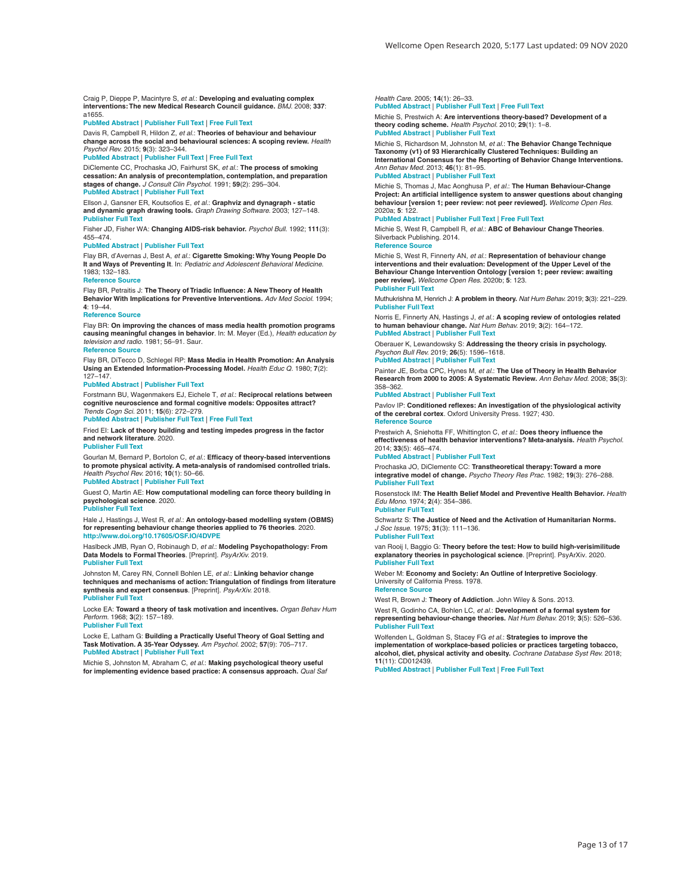<span id="page-12-0"></span>Craig P, Dieppe P, Macintyre S, *et al.*: **Developing and evaluating complex interventions: The new Medical Research Council guidance.** *BMJ.* 2008; **337**: a1655.

#### **[PubMed Abstract](http://www.ncbi.nlm.nih.gov/pubmed/18824488)** | **[Publisher Full Text](http://dx.doi.org/10.1136/bmj.a1655)** | **[Free Full Text](http://www.ncbi.nlm.nih.gov/pmc/articles/2769032)**

Davis R, Campbell R, Hildon Z, *et al.*: **Theories of behaviour and behaviour change across the social and behavioural sciences: A scoping review.** *Health Psychol Rev.* 2015; **9**(3): 323–344.

#### **[PubMed Abstract](http://www.ncbi.nlm.nih.gov/pubmed/25104107)** | **[Publisher Full Text](http://dx.doi.org/10.1080/17437199.2014.941722)** | **[Free Full Text](http://www.ncbi.nlm.nih.gov/pmc/articles/4566873)**

DiClemente CC, Prochaska JO, Fairhurst SK, *et al.*: **The process of smoking cessation: An analysis of precontemplation, contemplation, and preparation stages of change.** *J Consult Clin Psychol.* 1991; **59**(2): 295–304. **[PubMed Abstract](http://www.ncbi.nlm.nih.gov/pubmed/2030191)** | **[Publisher Full Text](http://dx.doi.org/10.1037/0022-006x.59.2.295)**

Ellson J, Gansner ER, Koutsofios E, *et al.*: **Graphviz and dynagraph - static and dynamic graph drawing tools.** *Graph Drawing Software.* 2003; 127–148. **[Publisher Full Text](http://dx.doi.org/10.1007/978-3-642-18638-7_6)**

Fisher JD, Fisher WA: **Changing AIDS-risk behavior.** *Psychol Bull.* 1992; **111**(3): 455–474.

### **[PubMed Abstract](http://www.ncbi.nlm.nih.gov/pubmed/1594721)** | **[Publisher Full Text](http://dx.doi.org/10.1037/0033-2909.111.3.455)**

Flay BR, d'Avernas J, Best A, *et al.*: **Cigarette Smoking: Why Young People Do It and Ways of Preventing It**. In: *Pediatric and Adolescent Behavioral Medicine*. 1983; 132–183.

#### **Reference Sourc**

Flay BR, Petraitis J: **The Theory of Triadic Influence: A New Theory of Health Behavior With Implications for Preventive Interventions.** *Adv Med Sociol.* 1994; **4**: 19–44.

#### **Reference S**

Flay BR: **On improving the chances of mass media health promotion programs causing meaningful changes in behavior**. In: M. Meyer (Ed.), *Health education by television and radio*. 1981; 56–91. Saur.

#### **[Reference Source](https://www.researchgate.net/profile/Brian_Flay/publication/224942174_On_improving_the_chances_of_mass_media_health_promotion_programs_causing_meaningful_changes_in_behavior/links/0c960526e951a39ad7000000/On-improving-the-chances-of-mass-media-health-promotion-programs-causing-meaningful-changes-in-behavior.pdf?origin=publication_detail)**

Flay BR, DiTecco D, Schlegel RP: **Mass Media in Health Promotion: An Analysis Using an Extended Information-Processing Model.** *Health Educ Q.* 1980; **7**(2): 127–147.

#### **[PubMed Abstract](http://www.ncbi.nlm.nih.gov/pubmed/7275639)** | **[Publisher Full Text](http://dx.doi.org/10.1177/109019818000700203)**

Forstmann BU, Wagenmakers EJ, Eichele T, *et al.*: **Reciprocal relations between cognitive neuroscience and formal cognitive models: Opposites attract?** *Trends Cogn Sci.* 2011; **15**(6): 272–279.

#### **[PubMed Abstract](http://www.ncbi.nlm.nih.gov/pubmed/21612972)** | **[Publisher Full Text](http://dx.doi.org/10.1016/j.tics.2011.04.002)** | **[Free Full Text](http://www.ncbi.nlm.nih.gov/pmc/articles/3384559)**

Fried EI: **Lack of theory building and testing impedes progress in the factor and network literature**. 2020.

#### **[Publisher Full Text](http://dx.doi.org/10.31234/osf.io/zg84s)**

Gourlan M, Bernard P, Bortolon C, *et al.*: **Efficacy of theory-based interventions to promote physical activity. A meta-analysis of randomised controlled trials.** *Health Psychol Rev.* 2016; **10**(1): 50–66. **[PubMed Abstract](http://www.ncbi.nlm.nih.gov/pubmed/25402606)** | **[Publisher Full Text](http://dx.doi.org/10.1080/17437199.2014.981777)**

Guest O, Martin AE: **How computational modeling can force theory building in psychological science**. 2020.

## **[Publisher Full Text](http://dx.doi.org/10.31234/osf.io/rybh9)**

Hale J, Hastings J, West R, *et al.*: **An ontology-based modelling system (OBMS) for representing behaviour change theories applied to 76 theories**. 2020. **<http://www.doi.org/10.17605/OSF.IO/4DVPE>**

Haslbeck JMB, Ryan O, Robinaugh D, *et al.*: **Modeling Psychopathology: From Data Models to Formal Theories**. [Preprint]. *PsyArXiv.* 2019. **[Publisher Full Text](http://dx.doi.org/10.31234/osf.io/jgm7f)**

Johnston M, Carey RN, Connell Bohlen LE, *et al.*: **Linking behavior change techniques and mechanisms of action: Triangulation of findings from literature synthesis and expert consensus**. [Preprint]. *PsyArXiv.* 2018.

# **[Publisher Full Text](http://dx.doi.org/10.31234/osf.io/ur6kz)**

Locke EA: **Toward a theory of task motivation and incentives.** *Organ Behav Hum Perform.* 1968; **3**(2): 157–189. **[Publisher Full Text](http://dx.doi.org/10.1016/0030-5073(68)90004-4)**

Locke E, Latham G: **Building a Practically Useful Theory of Goal Setting and Task Motivation. A 35-Year Odyssey.** *Am Psychol.* 2002; **57**(9): 705–717. **[PubMed Abstract](http://www.ncbi.nlm.nih.gov/pubmed/12237980)** | **[Publisher Full Text](http://dx.doi.org/10.1037/0003-066x.57.9.705)**

Michie S, Johnston M, Abraham C, *et al.*: **Making psychological theory useful for implementing evidence based practice: A consensus approach.** *Qual Saf*  *Health Care.* 2005; **14**(1): 26–33.

#### **[PubMed Abstract](http://www.ncbi.nlm.nih.gov/pubmed/15692000)** | **[Publisher Full Text](http://dx.doi.org/10.1136/qshc.2004.011155)** | **[Free Full Text](http://www.ncbi.nlm.nih.gov/pmc/articles/1743963)**

Michie S, Prestwich A: **Are interventions theory-based? Development of a theory coding scheme.** *Health Psychol.* 2010; **29**(1): 1–8. **[PubMed Abstract](http://www.ncbi.nlm.nih.gov/pubmed/20063930)** | **[Publisher Full Text](http://dx.doi.org/10.1037/a0016939)**

Michie S, Richardson M, Johnston M, *et al.*: **The Behavior Change Technique Taxonomy (v1) of 93 Hierarchically Clustered Techniques: Building an International Consensus for the Reporting of Behavior Change Interventions.** *Ann Behav Med.* 2013; **46**(1): 81–95.

#### **[PubMed Abstract](http://www.ncbi.nlm.nih.gov/pubmed/23512568)** | **[Publisher Full Text](http://dx.doi.org/10.1007/s12160-013-9486-6)**

Michie S, Thomas J, Mac Aonghusa P, *et al.*: **The Human Behaviour-Change Project: An artificial intelligence system to answer questions about changing behaviour [version 1; peer review: not peer reviewed].** *Wellcome Open Res.* 2020a; **5**: 122.

#### **[PubMed Abstract](http://www.ncbi.nlm.nih.gov/pubmed/32566761)** | **[Publisher Full Text](http://dx.doi.org/10.12688/wellcomeopenres.15900.1)** | **[Free Full Text](http://www.ncbi.nlm.nih.gov/pmc/articles/7287511)**

Michie S, West R, Campbell R, *et al.*: **ABC of Behaviour Change Theories**. Silverback Publishing. 2014.

#### **[Reference Source](https://www.researchgate.net/publication/263301409_ABC_of_Behaviour_Change_Theories)**

Michie S, West R, Finnerty AN, *et al.*: **Representation of behaviour change interventions and their evaluation: Development of the Upper Level of the Behaviour Change Intervention Ontology [version 1; peer review: awaiting peer review].** *Wellcome Open Res.* 2020b; **5**: 123.

#### **[Publisher Full Text](http://dx.doi.org/10.12688/wellcomeopenres.15902.1)**

Muthukrishna M, Henrich J: **A problem in theory.** *Nat Hum Behav.* 2019; **3**(3): 221–229. **[Publisher Full Text](http://dx.doi.org/10.1038/s41562-018-0522-1)**

Norris E, Finnerty AN, Hastings J, *et al.*: **A scoping review of ontologies related to human behaviour change.** *Nat Hum Behav.* 2019; **3**(2): 164–172. **[PubMed Abstract](http://www.ncbi.nlm.nih.gov/pubmed/30944444)** | **[Publisher Full Text](http://dx.doi.org/10.1038/s41562-018-0511-4)**

Oberauer K, Lewandowsky S: **Addressing the theory crisis in psychology.** *Psychon Bull Rev.* 2019; **26**(5): 1596–1618. **[PubMed Abstract](http://www.ncbi.nlm.nih.gov/pubmed/31515732)** | **[Publisher Full Text](http://dx.doi.org/10.3758/s13423-019-01645-2)**

Painter JE, Borba CPC, Hynes M, *et al.*: **The Use of Theory in Health Behavior Research from 2000 to 2005: A Systematic Review.** *Ann Behav Med.* 2008; **35**(3): 358–362.

#### **[PubMed Abstract](http://www.ncbi.nlm.nih.gov/pubmed/18633685)** | **[Publisher Full Text](http://dx.doi.org/10.1007/s12160-008-9042-y)**

Pavlov IP: **Conditioned reflexes: An investigation of the physiological activity of the cerebral cortex**. Oxford University Press. 1927; 430. **[Reference Source](https://books.google.co.in/books/about/Conditioned_Reflexes.html?id=jmIKAAAAMAAJ)**

Prestwich A, Sniehotta FF, Whittington C, *et al.*: **Does theory influence the effectiveness of health behavior interventions? Meta-analysis.** *Health Psychol.* 2014; **33**(5): 465–474.

**[PubMed Abstract](http://www.ncbi.nlm.nih.gov/pubmed/23730717)** | **[Publisher Full Text](http://dx.doi.org/10.1037/a0032853)**

Prochaska JO, DiClemente CC: **Transtheoretical therapy: Toward a more integrative model of change.** *Psycho Theory Res Prac.* 1982; **19**(3): 276–288. **[Publisher Full Text](http://dx.doi.org/10.1037/h0088437)**

Rosenstock IM: **The Health Belief Model and Preventive Health Behavior.** *Health Edu Mono.* 1974; **2**(4): 354–386. **[Publisher Full Text](http://dx.doi.org/10.1177/109019817400200405)**

Schwartz S: **The Justice of Need and the Activation of Humanitarian Norms.** *J Soc Issue.* 1975; **31**(3): 111–136. **[Publisher Full Text](http://dx.doi.org/10.1111/j.1540-4560.1975.tb00999.x)**

van Rooij I, Baggio G: **Theory before the test: How to build high-verisimilitude explanatory theories in psychological science**. [Preprint]. PsyArXiv. 2020. **[Publisher Full Text](http://dx.doi.org/10.31234/osf.io/7qbpr)**

Weber M: **Economy and Society: An Outline of Interpretive Sociology**. University of California Press. 1978. **[Reference Source](https://books.google.co.in/books/about/Economy_and_Society.html?id=pSdaNuIaUUEC)**

West R, Brown J: **Theory of Addiction**. John Wiley & Sons. 2013.

West R, Godinho CA, Bohlen LC, *et al.*: **Development of a formal system for representing behaviour-change theories.** *Nat Hum Behav.* 2019; **3**(5): 526–536. **[Publisher Full Text](http://dx.doi.org/10.1038/s41562-019-0561-2)**

Wolfenden L, Goldman S, Stacey FG *et al*.: **Strategies to improve the implementation of workplace-based policies or practices targeting tobacco, alcohol, diet, physical activity and obesity.** *Cochrane Database Syst Rev.* 2018; **11**(11): CD012439.

**[PubMed Abstract](http://www.ncbi.nlm.nih.gov/pubmed/30480770)** | **[Publisher Full Text](http://dx.doi.org/10.1002/14651858.CD012439.pub2)** | **[Free Full Text](http://www.ncbi.nlm.nih.gov/pmc/articles/6362433)**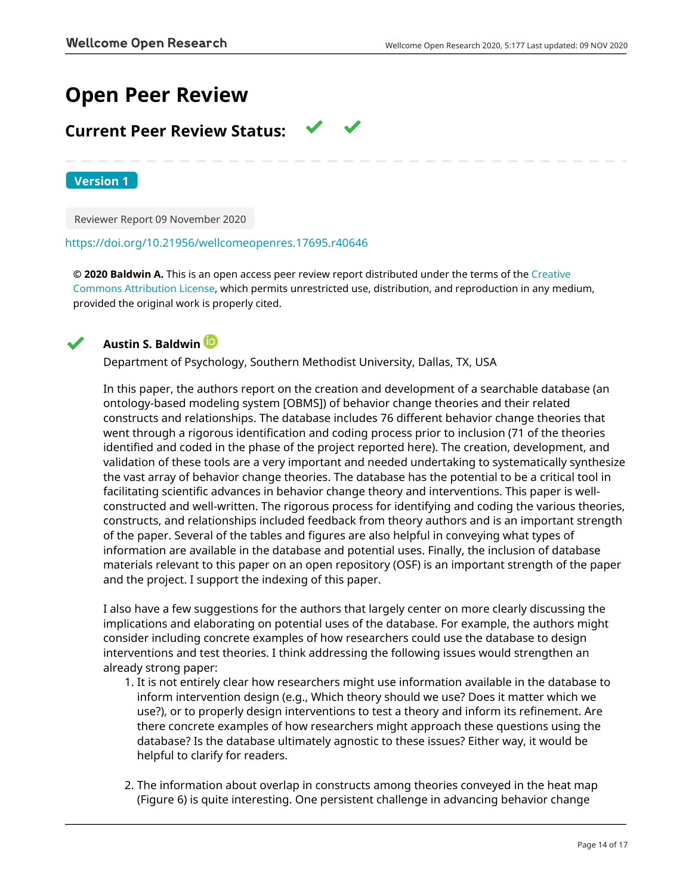# **Open Peer Review**

# **Current Peer Review Status:**

**Version 1**

Reviewer Report 09 November 2020

# <https://doi.org/10.21956/wellcomeopenres.17695.r40646>

**© 2020 Baldwin A.** This is an open access peer review report distributed under the terms of the [Creative](https://creativecommons.org/licenses/by/4.0/) [Commons Attribution License](https://creativecommons.org/licenses/by/4.0/), which permits unrestricted use, distribution, and reproduction in any medium, provided the original work is properly cited.



# **Austin S. Baldwin**

Department of Psychology, Southern Methodist University, Dallas, TX, USA

In this paper, the authors report on the creation and development of a searchable database (an ontology-based modeling system [OBMS]) of behavior change theories and their related constructs and relationships. The database includes 76 different behavior change theories that went through a rigorous identification and coding process prior to inclusion (71 of the theories identified and coded in the phase of the project reported here). The creation, development, and validation of these tools are a very important and needed undertaking to systematically synthesize the vast array of behavior change theories. The database has the potential to be a critical tool in facilitating scientific advances in behavior change theory and interventions. This paper is wellconstructed and well-written. The rigorous process for identifying and coding the various theories, constructs, and relationships included feedback from theory authors and is an important strength of the paper. Several of the tables and figures are also helpful in conveying what types of information are available in the database and potential uses. Finally, the inclusion of database materials relevant to this paper on an open repository (OSF) is an important strength of the paper and the project. I support the indexing of this paper.

I also have a few suggestions for the authors that largely center on more clearly discussing the implications and elaborating on potential uses of the database. For example, the authors might consider including concrete examples of how researchers could use the database to design interventions and test theories. I think addressing the following issues would strengthen an already strong paper:

- 1. It is not entirely clear how researchers might use information available in the database to inform intervention design (e.g., Which theory should we use? Does it matter which we use?), or to properly design interventions to test a theory and inform its refinement. Are there concrete examples of how researchers might approach these questions using the database? Is the database ultimately agnostic to these issues? Either way, it would be helpful to clarify for readers.
- 2. The information about overlap in constructs among theories conveyed in the heat map (Figure 6) is quite interesting. One persistent challenge in advancing behavior change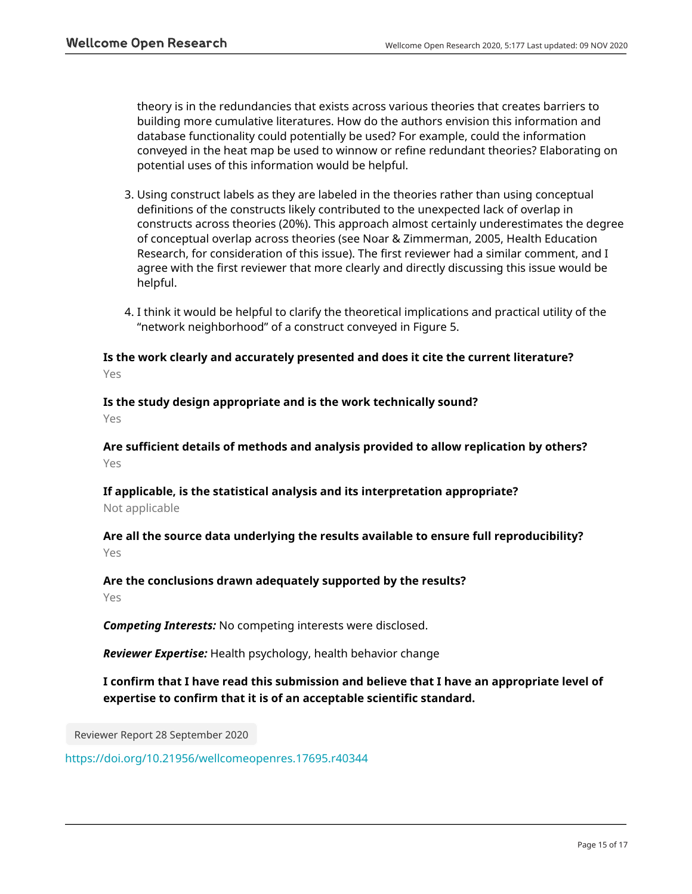theory is in the redundancies that exists across various theories that creates barriers to building more cumulative literatures. How do the authors envision this information and database functionality could potentially be used? For example, could the information conveyed in the heat map be used to winnow or refine redundant theories? Elaborating on potential uses of this information would be helpful.

- 3. Using construct labels as they are labeled in the theories rather than using conceptual definitions of the constructs likely contributed to the unexpected lack of overlap in constructs across theories (20%). This approach almost certainly underestimates the degree of conceptual overlap across theories (see Noar & Zimmerman, 2005, Health Education Research, for consideration of this issue). The first reviewer had a similar comment, and I agree with the first reviewer that more clearly and directly discussing this issue would be helpful.
- I think it would be helpful to clarify the theoretical implications and practical utility of the 4. "network neighborhood" of a construct conveyed in Figure 5.

**Is the work clearly and accurately presented and does it cite the current literature?** Yes

**Is the study design appropriate and is the work technically sound?** Yes

**Are sufficient details of methods and analysis provided to allow replication by others?** Yes

**If applicable, is the statistical analysis and its interpretation appropriate?** Not applicable

**Are all the source data underlying the results available to ensure full reproducibility?** Yes

# **Are the conclusions drawn adequately supported by the results?**

Yes

*Competing Interests:* No competing interests were disclosed.

*Reviewer Expertise:* Health psychology, health behavior change

**I confirm that I have read this submission and believe that I have an appropriate level of expertise to confirm that it is of an acceptable scientific standard.**

Reviewer Report 28 September 2020

<https://doi.org/10.21956/wellcomeopenres.17695.r40344>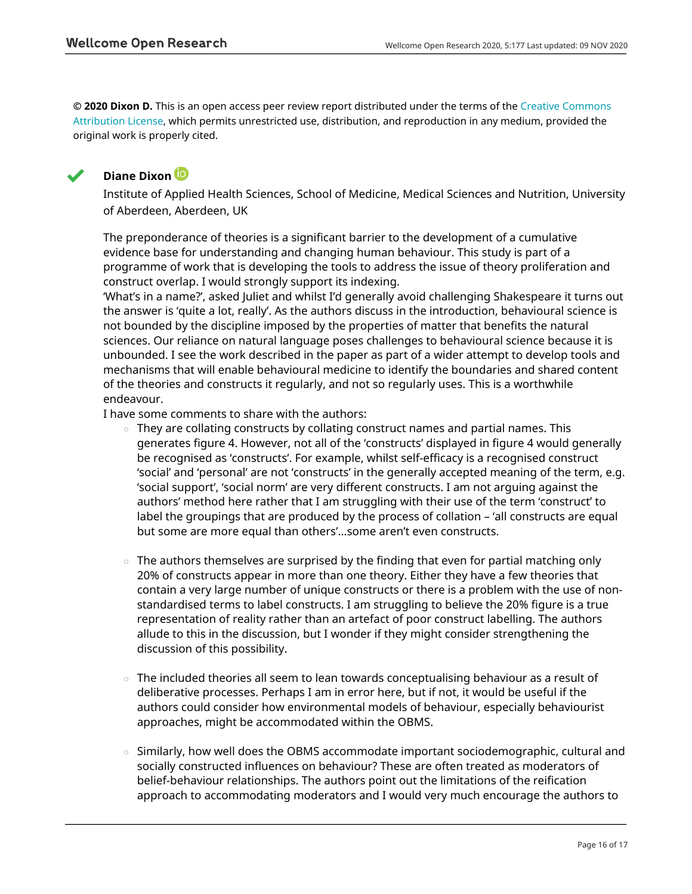**© 2020 Dixon D.** This is an open access peer review report distributed under the terms of the [Creative Commons](https://creativecommons.org/licenses/by/4.0/) [Attribution License](https://creativecommons.org/licenses/by/4.0/), which permits unrestricted use, distribution, and reproduction in any medium, provided the original work is properly cited.



# **Diane Dixon**

Institute of Applied Health Sciences, School of Medicine, Medical Sciences and Nutrition, University of Aberdeen, Aberdeen, UK

The preponderance of theories is a significant barrier to the development of a cumulative evidence base for understanding and changing human behaviour. This study is part of a programme of work that is developing the tools to address the issue of theory proliferation and construct overlap. I would strongly support its indexing.

'What's in a name?', asked Juliet and whilst I'd generally avoid challenging Shakespeare it turns out the answer is 'quite a lot, really'. As the authors discuss in the introduction, behavioural science is not bounded by the discipline imposed by the properties of matter that benefits the natural sciences. Our reliance on natural language poses challenges to behavioural science because it is unbounded. I see the work described in the paper as part of a wider attempt to develop tools and mechanisms that will enable behavioural medicine to identify the boundaries and shared content of the theories and constructs it regularly, and not so regularly uses. This is a worthwhile endeavour.

I have some comments to share with the authors:

- They are collating constructs by collating construct names and partial names. This generates figure 4. However, not all of the 'constructs' displayed in figure 4 would generally be recognised as 'constructs'. For example, whilst self-efficacy is a recognised construct 'social' and 'personal' are not 'constructs' in the generally accepted meaning of the term, e.g. 'social support', 'social norm' are very different constructs. I am not arguing against the authors' method here rather that I am struggling with their use of the term 'construct' to label the groupings that are produced by the process of collation – 'all constructs are equal but some are more equal than others'…some aren't even constructs. ○
- The authors themselves are surprised by the finding that even for partial matching only 20% of constructs appear in more than one theory. Either they have a few theories that contain a very large number of unique constructs or there is a problem with the use of nonstandardised terms to label constructs. I am struggling to believe the 20% figure is a true representation of reality rather than an artefact of poor construct labelling. The authors allude to this in the discussion, but I wonder if they might consider strengthening the discussion of this possibility. ○
- The included theories all seem to lean towards conceptualising behaviour as a result of deliberative processes. Perhaps I am in error here, but if not, it would be useful if the authors could consider how environmental models of behaviour, especially behaviourist approaches, might be accommodated within the OBMS.
- Similarly, how well does the OBMS accommodate important sociodemographic, cultural and socially constructed influences on behaviour? These are often treated as moderators of belief-behaviour relationships. The authors point out the limitations of the reification approach to accommodating moderators and I would very much encourage the authors to